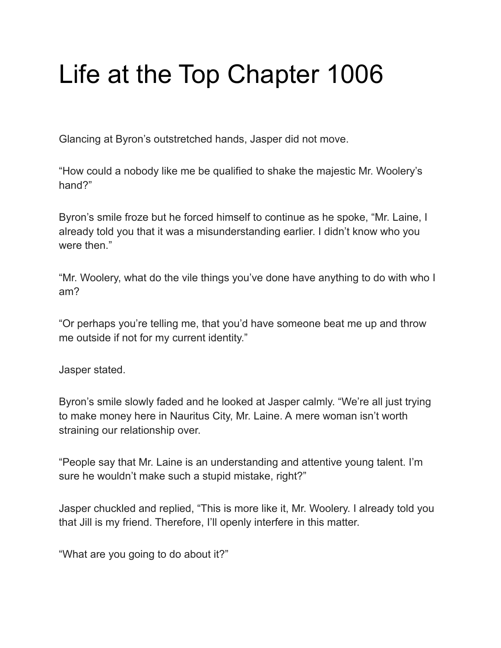## Life at the Top Chapter 1006

Glancing at Byron's outstretched hands, Jasper did not move.

"How could a nobody like me be qualified to shake the majestic Mr. Woolery's hand?"

Byron's smile froze but he forced himself to continue as he spoke, "Mr. Laine, I already told you that it was a misunderstanding earlier. I didn't know who you were then."

"Mr. Woolery, what do the vile things you've done have anything to do with who I am?

"Or perhaps you're telling me, that you'd have someone beat me up and throw me outside if not for my current identity."

Jasper stated.

Byron's smile slowly faded and he looked at Jasper calmly. "We're all just trying to make money here in Nauritus City, Mr. Laine. A mere woman isn't worth straining our relationship over.

"People say that Mr. Laine is an understanding and attentive young talent. I'm sure he wouldn't make such a stupid mistake, right?"

Jasper chuckled and replied, "This is more like it, Mr. Woolery. I already told you that Jill is my friend. Therefore, I'll openly interfere in this matter.

"What are you going to do about it?"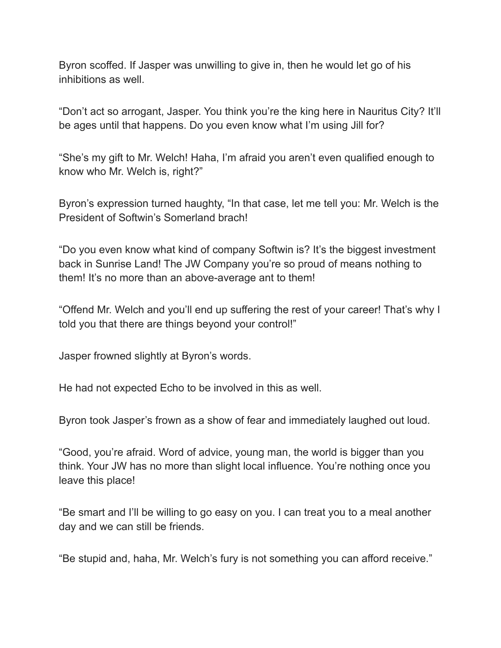Byron scoffed. If Jasper was unwilling to give in, then he would let go of his inhibitions as well.

"Don't act so arrogant, Jasper. You think you're the king here in Nauritus City? It'll be ages until that happens. Do you even know what I'm using Jill for?

"She's my gift to Mr. Welch! Haha, I'm afraid you aren't even qualified enough to know who Mr. Welch is, right?"

Byron's expression turned haughty, "In that case, let me tell you: Mr. Welch is the President of Softwin's Somerland brach!

"Do you even know what kind of company Softwin is? It's the biggest investment back in Sunrise Land! The JW Company you're so proud of means nothing to them! It's no more than an above-average ant to them!

"Offend Mr. Welch and you'll end up suffering the rest of your career! That's why I told you that there are things beyond your control!"

Jasper frowned slightly at Byron's words.

He had not expected Echo to be involved in this as well.

Byron took Jasper's frown as a show of fear and immediately laughed out loud.

"Good, you're afraid. Word of advice, young man, the world is bigger than you think. Your JW has no more than slight local influence. You're nothing once you leave this place!

"Be smart and I'll be willing to go easy on you. I can treat you to a meal another day and we can still be friends.

"Be stupid and, haha, Mr. Welch's fury is not something you can afford receive."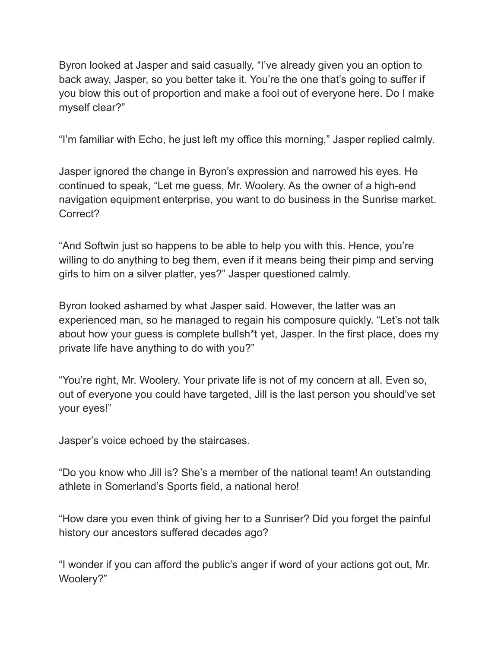Byron looked at Jasper and said casually, "I've already given you an option to back away, Jasper, so you better take it. You're the one that's going to suffer if you blow this out of proportion and make a fool out of everyone here. Do I make myself clear?"

"I'm familiar with Echo, he just left my office this morning," Jasper replied calmly.

Jasper ignored the change in Byron's expression and narrowed his eyes. He continued to speak, "Let me guess, Mr. Woolery. As the owner of a high-end navigation equipment enterprise, you want to do business in the Sunrise market. Correct?

"And Softwin just so happens to be able to help you with this. Hence, you're willing to do anything to beg them, even if it means being their pimp and serving girls to him on a silver platter, yes?" Jasper questioned calmly.

Byron looked ashamed by what Jasper said. However, the latter was an experienced man, so he managed to regain his composure quickly. "Let's not talk about how your guess is complete bullsh\*t yet, Jasper. In the first place, does my private life have anything to do with you?"

"You're right, Mr. Woolery. Your private life is not of my concern at all. Even so, out of everyone you could have targeted, Jill is the last person you should've set your eyes!"

Jasper's voice echoed by the staircases.

"Do you know who Jill is? She's a member of the national team! An outstanding athlete in Somerland's Sports field, a national hero!

"How dare you even think of giving her to a Sunriser? Did you forget the painful history our ancestors suffered decades ago?

"I wonder if you can afford the public's anger if word of your actions got out, Mr. Woolery?"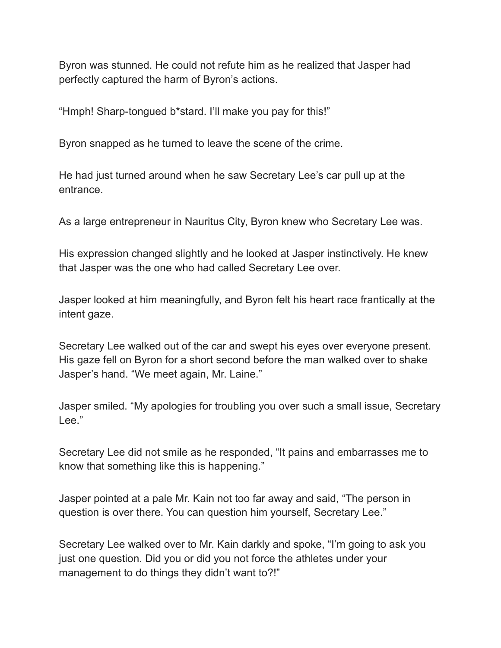Byron was stunned. He could not refute him as he realized that Jasper had perfectly captured the harm of Byron's actions.

"Hmph! Sharp-tongued b\*stard. I'll make you pay for this!"

Byron snapped as he turned to leave the scene of the crime.

He had just turned around when he saw Secretary Lee's car pull up at the entrance.

As a large entrepreneur in Nauritus City, Byron knew who Secretary Lee was.

His expression changed slightly and he looked at Jasper instinctively. He knew that Jasper was the one who had called Secretary Lee over.

Jasper looked at him meaningfully, and Byron felt his heart race frantically at the intent gaze.

Secretary Lee walked out of the car and swept his eyes over everyone present. His gaze fell on Byron for a short second before the man walked over to shake Jasper's hand. "We meet again, Mr. Laine."

Jasper smiled. "My apologies for troubling you over such a small issue, Secretary Lee."

Secretary Lee did not smile as he responded, "It pains and embarrasses me to know that something like this is happening."

Jasper pointed at a pale Mr. Kain not too far away and said, "The person in question is over there. You can question him yourself, Secretary Lee."

Secretary Lee walked over to Mr. Kain darkly and spoke, "I'm going to ask you just one question. Did you or did you not force the athletes under your management to do things they didn't want to?!"